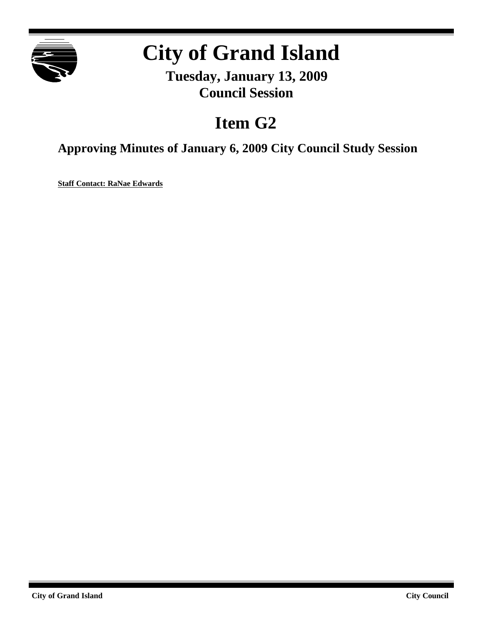

## **City of Grand Island**

**Tuesday, January 13, 2009 Council Session**

## **Item G2**

**Approving Minutes of January 6, 2009 City Council Study Session**

**Staff Contact: RaNae Edwards**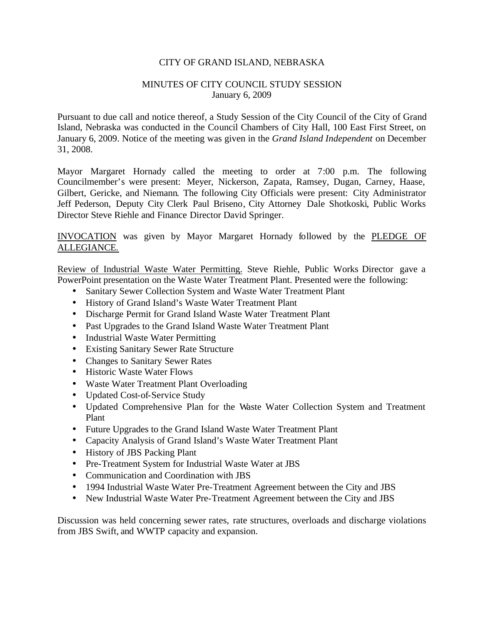## CITY OF GRAND ISLAND, NEBRASKA

## MINUTES OF CITY COUNCIL STUDY SESSION January 6, 2009

Pursuant to due call and notice thereof, a Study Session of the City Council of the City of Grand Island, Nebraska was conducted in the Council Chambers of City Hall, 100 East First Street, on January 6, 2009. Notice of the meeting was given in the *Grand Island Independent* on December 31, 2008.

Mayor Margaret Hornady called the meeting to order at 7:00 p.m. The following Councilmember's were present: Meyer, Nickerson, Zapata, Ramsey, Dugan, Carney, Haase, Gilbert, Gericke, and Niemann. The following City Officials were present: City Administrator Jeff Pederson, Deputy City Clerk Paul Briseno, City Attorney Dale Shotkoski, Public Works Director Steve Riehle and Finance Director David Springer.

INVOCATION was given by Mayor Margaret Hornady followed by the PLEDGE OF ALLEGIANCE.

Review of Industrial Waste Water Permitting. Steve Riehle, Public Works Director gave a PowerPoint presentation on the Waste Water Treatment Plant. Presented were the following:

- Sanitary Sewer Collection System and Waste Water Treatment Plant
- History of Grand Island's Waste Water Treatment Plant
- Discharge Permit for Grand Island Waste Water Treatment Plant
- Past Upgrades to the Grand Island Waste Water Treatment Plant
- Industrial Waste Water Permitting
- Existing Sanitary Sewer Rate Structure
- Changes to Sanitary Sewer Rates
- Historic Waste Water Flows
- Waste Water Treatment Plant Overloading
- Updated Cost-of-Service Study
- Updated Comprehensive Plan for the Waste Water Collection System and Treatment Plant
- Future Upgrades to the Grand Island Waste Water Treatment Plant
- Capacity Analysis of Grand Island's Waste Water Treatment Plant
- History of JBS Packing Plant
- Pre-Treatment System for Industrial Waste Water at JBS
- Communication and Coordination with JBS
- 1994 Industrial Waste Water Pre-Treatment Agreement between the City and JBS
- New Industrial Waste Water Pre-Treatment Agreement between the City and JBS

Discussion was held concerning sewer rates, rate structures, overloads and discharge violations from JBS Swift, and WWTP capacity and expansion.